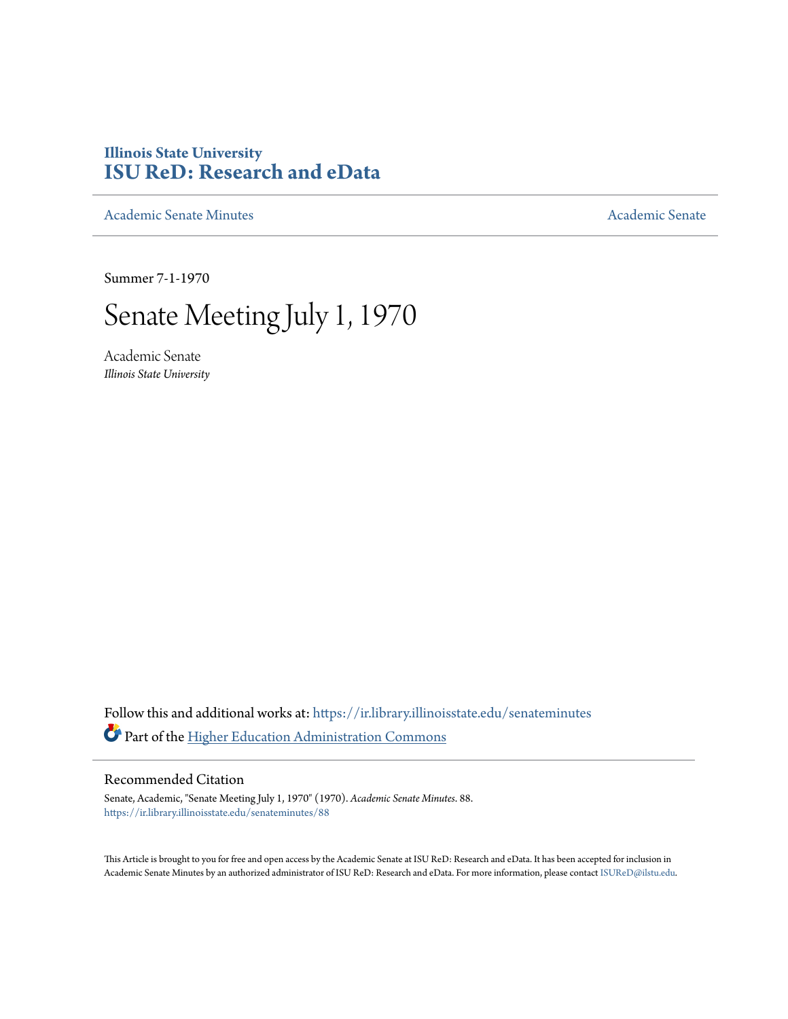# **Illinois State University [ISU ReD: Research and eData](https://ir.library.illinoisstate.edu?utm_source=ir.library.illinoisstate.edu%2Fsenateminutes%2F88&utm_medium=PDF&utm_campaign=PDFCoverPages)**

[Academic Senate Minutes](https://ir.library.illinoisstate.edu/senateminutes?utm_source=ir.library.illinoisstate.edu%2Fsenateminutes%2F88&utm_medium=PDF&utm_campaign=PDFCoverPages) [Academic Senate](https://ir.library.illinoisstate.edu/senate?utm_source=ir.library.illinoisstate.edu%2Fsenateminutes%2F88&utm_medium=PDF&utm_campaign=PDFCoverPages) Academic Senate

Summer 7-1-1970

# Senate Meeting July 1, 1970

Academic Senate *Illinois State University*

Follow this and additional works at: [https://ir.library.illinoisstate.edu/senateminutes](https://ir.library.illinoisstate.edu/senateminutes?utm_source=ir.library.illinoisstate.edu%2Fsenateminutes%2F88&utm_medium=PDF&utm_campaign=PDFCoverPages) Part of the [Higher Education Administration Commons](http://network.bepress.com/hgg/discipline/791?utm_source=ir.library.illinoisstate.edu%2Fsenateminutes%2F88&utm_medium=PDF&utm_campaign=PDFCoverPages)

#### Recommended Citation

Senate, Academic, "Senate Meeting July 1, 1970" (1970). *Academic Senate Minutes*. 88. [https://ir.library.illinoisstate.edu/senateminutes/88](https://ir.library.illinoisstate.edu/senateminutes/88?utm_source=ir.library.illinoisstate.edu%2Fsenateminutes%2F88&utm_medium=PDF&utm_campaign=PDFCoverPages)

This Article is brought to you for free and open access by the Academic Senate at ISU ReD: Research and eData. It has been accepted for inclusion in Academic Senate Minutes by an authorized administrator of ISU ReD: Research and eData. For more information, please contact [ISUReD@ilstu.edu.](mailto:ISUReD@ilstu.edu)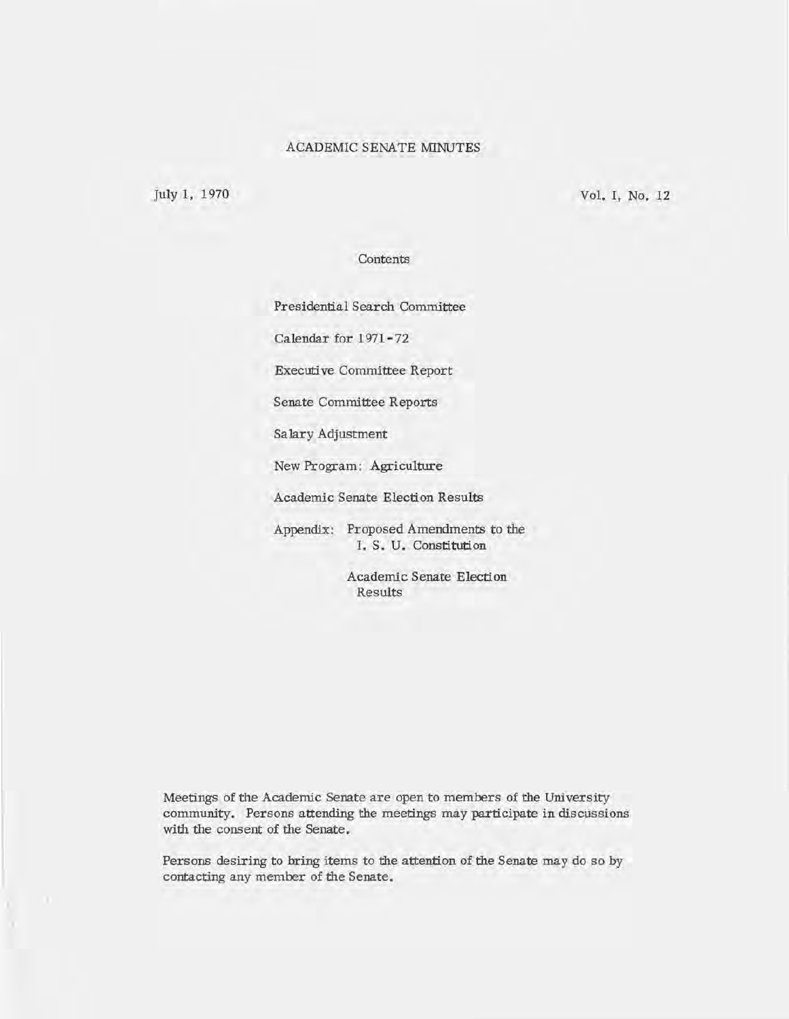#### ACADEMIC SENATE MINUTES

July 1, 1970

Vol. I, No. 12

#### Contents

Presidential Search Committee

Calendar for 1971- 72

Executi ve Committee Report

Senate Committee Reports

Salary Adjustment

New Program: Agriculture

Academic Senate Election Results

Appendix: Proposed Amendments to the I. S. U. Constitution

> Academic Senate Election Results

Meetings of the Academic Senate are open to members of the University community. Persons attending the meetings may participate in discussions with the consent of the Senate.

Persons desiring to bring items to the attention of the Senate may do so by contacting any member of the Senate.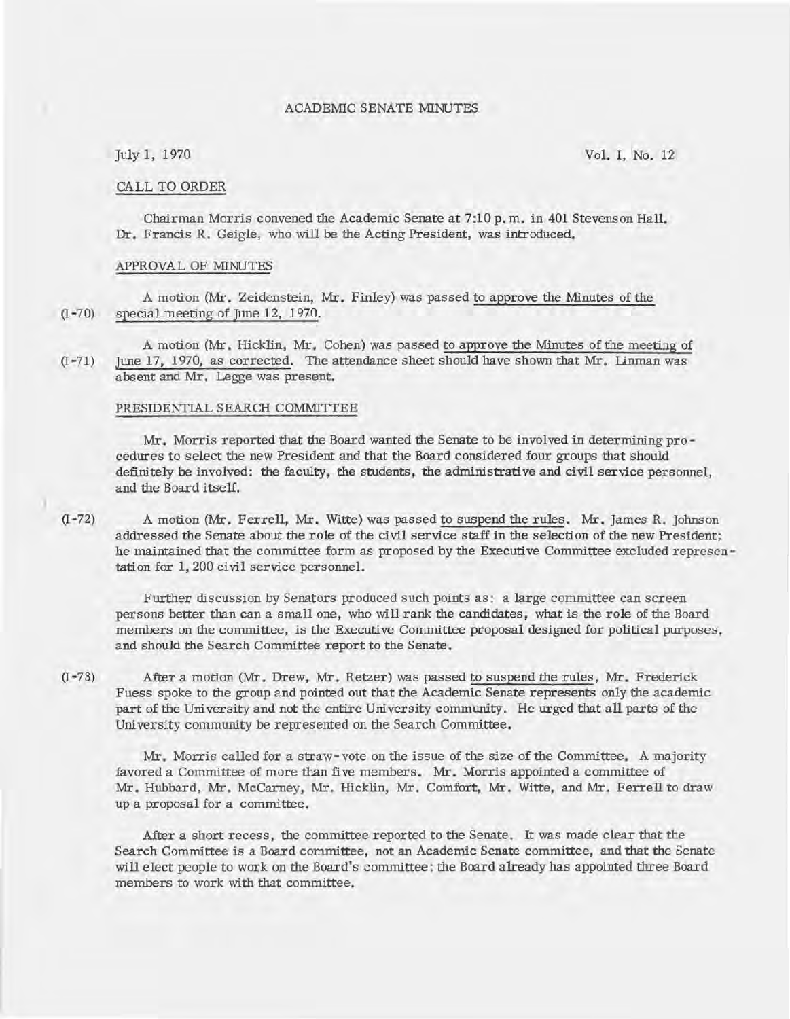#### ACADEMIC SENATE MINUTES

#### CALL TO ORDER

Chairman Morris convened the Academic Senate at 7:10 p. m. in 401 Stevenson Hall. Dr. Francis R. Geigle, who will be the Acting President, was introduced.

#### APPROVAL OF MINUTES

A motion (Mr. Zeidenstein, Mr. Finley) was passed to approve the Minutes of the (I -70) special meeting of June 12, 1970.

A motion (Mr. Hicklin, Mr. Cohen) was passed to approve the Minutes of the meeting of (I-71) June 17, 1970, as corrected. The attendance sheet should have shown that Mr. Unman was absent and Mr. Legge was present.

#### PRESIDENTIAL SEARCH COMMITTEE

Mr. Morris reported that the Board wanted the Senate to be involved in determining procedures to select the new President and that the Board considered four groups that should definitely be involved: the faculty, the students, the administrative and civil service personnel, and the Board itself.

(I-72) A motion (Mr. Ferrell, Mr. Witte) was passed to suspend the rules. Mr. James R. Johnson addressed the Senate about the role of the civil service staff in the selection of the new President; he maintained that the committee form as proposed by the Executive Committee excluded representation for 1,200 civil service personnel.

Further discussion by Senators produced such points as: a large committee can screen persons better than can a small one, who will rank the candidates, what is the role of the Board members on the committee, is the Executive Committee proposal designed for political purposes, and should the Search Committee report to the Senate.

(1-73) After a motion (Mr. Drew, Mr. Retzer) was passed to suspend the rules, Mr. Frederick Fuess spoke to the group and pointed out that the Academic Senate represents only the academic part of the University and not the entire University community. He urged that\_all parts of the University community be represented on the Search Committee.

Mr. Morris called for a straw-vote on the issue of the size of the Committee. A majority favored a Committee of more than five members. Mr. Morris appointed a committee of Mr. Hubbard, Mr. McCarney, Mr. Hicklin, Mr. Comfort, Mr. Witte, and Mr. Ferrell to draw up a proposal for a committee.

After a short recess, the committee reported to the Senate. It was made clear that the Search Committee is a Board committee, not an Academic Senate committee, and that the Senate will elect people to work on the Board's committee; the Board already has appointed three Board members to work with that committee.

July 1, 1970 Vol. I, No. 12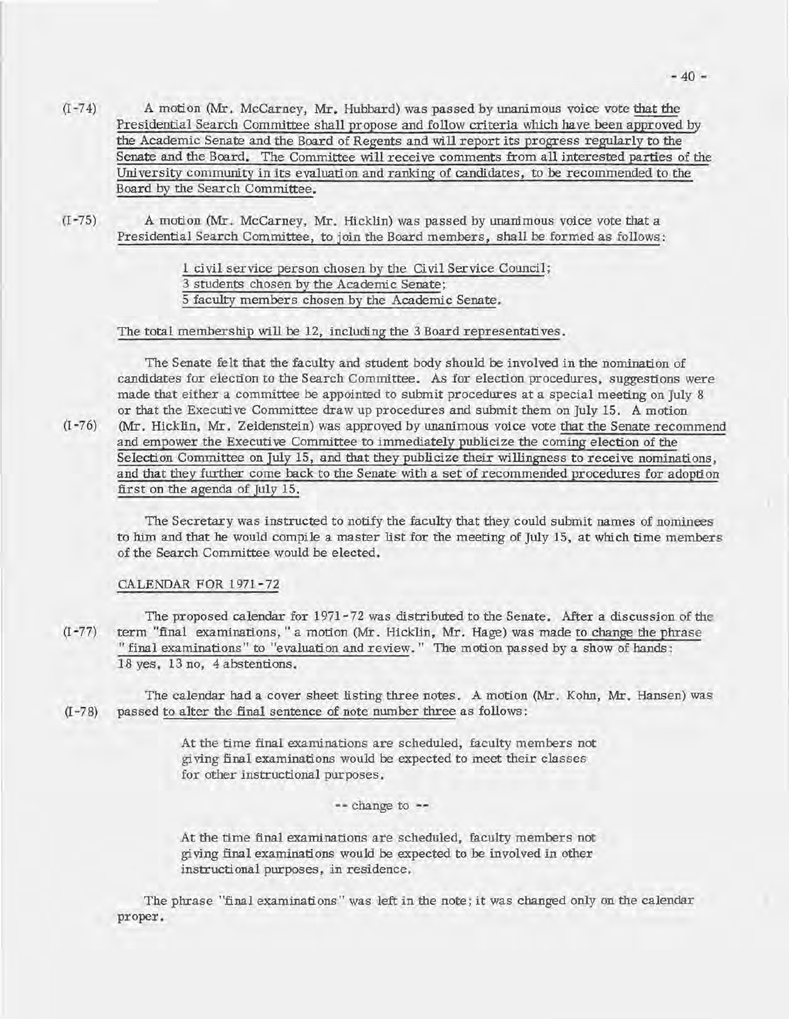- (I -74) A motion (Mr. McCarney, Mr. Hubbard) was passed by unanimous voice vote that the Presidential Search Committee shall propose and follow criteria which have been approved by the Academic Senate and the Board of Regents and will report its progress regularly to the Senate and the Board. The Committee will receive comments from all interested parties of the University community in its evaluation and ranking of candidates, to be recommended to the Board by the Search Committee.
- (1-75) A motion (Mr. McCarney, Mr. Hicklin) was passed by unanimous voice vote that a Presidential Search Committee, to join the Board members, shall be formed as follows:

1 civil service person chosen by the Civil Service Council; 3 students chosen by the Academic Senate; 5 faculty members chosen by the Academic Senate.

#### The total membership will be 12, including the 3 Board representatives.

The Senate felt that the faculty and student body should be involved in the nomination of candidates for election to the Search Committee. As for election procedures, suggestions were made that either a committee be appointed to submit procedures at a special meeting on July 8 or that the Executive Committee draw up procedures and submit them on July 15. A motion (1-76) (Mr. Hicklin, Mr. Zeidenstein) was approved by unanimous voice vote that the Senate recommend and empower the Executive Committee to immediately publicize the coming election of the Selection Committee on July 15, and that they publicize their willingness to receive nominations, and that they further come back to the Senate with a set of recommended procedures for adoption first on the agenda of July 15.

The Secretary was instructed to notify the faculty that they could submit names of nominees to him and that he would compile a master list for the meeting of July 15, at which time members of the Search Committee would be elected.

#### CALENDAR FOR 1971-72

The proposed calendar for 1971-72 was distributed to the Senate. After a discussion of the (I -77) term "final examinations," a motion (Mr. Hicklin, Mr. Hage) was made to change the phrase "final examinations" to "evaluation and review." The motion passed by a show of hands: 18 yes, 13 no, 4 abstentions.

The calendar had a cover sheet listing three notes. A motion (Mr. Kohn, Mr. Hansen) was (I -78) passed to alter the final sentence of note number three as follows:

> At the time final examinations are scheduled, faculty members not gi ving final examinations would be expected to meet their classes for other instructional purposes.

> > **--** change to

At the time final examinations are scheduled, faculty members not gi ving final examinations would be expected to be involved in other instructional purposes, in residence.

The phrase "final examinations" was left in the note; it was changed only on the calendar proper.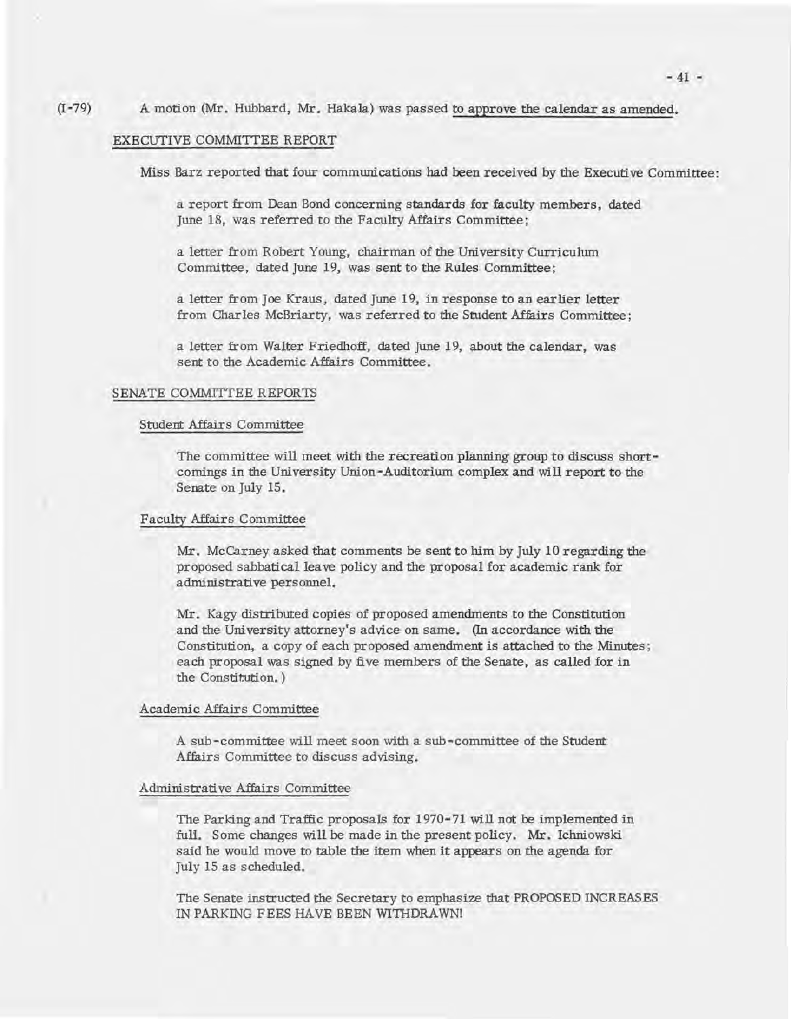#### $(I - 79)$ A motion (Mr. Hubbard, Mr. Hakala) was passed to approve the calendar as amended.

#### EXECUTIVE COMMITTEE REPORT

Miss Barz reported that four communications had been received by the Executive Committee:

a report from Dean Bond concerning standards for faculty members, dated June 18, was referred to the Faculty Affairs Committee;

a letter from Robert Young, chairman of the University Curriculum Committee, dated June 19, was sent to the Rules Committee;

a letter from Joe Kraus, dated June 19, in response to an earlier letter from Charles McBriarty, was referred to the Student Affairs Committee;

a letter from Walter Friedhoff, dated June 19, about the calendar, was sent to the Academic Affairs Committee.

#### SENATE COMMITTEE REPORTS

#### Student Affairs Committee

The committee will meet with the recreation planning group to discuss shortcomings in the University Union-Auditorium complex and will report to the Senate on July 15.

#### Faculty Affairs Committee

Mr. McCarney asked that comments be sent to him by July 10 regarding the proposed sabbatical lea ve policy and the proposal for academic rank for administrative personnel.

Mr. Kagy distributed copies of proposed amendments to the Constitution and the University attorney's advice on same. (In accordance with the Constitution, a copy of each proposed amendment is attached to the Minutes; each proposal was signed by five members of the Senate, as called for in the Constitution.)

#### Academic Affairs Committee

A sub-committee will meet soon with a sub-committee of the Student Affairs Committee to discuss advising.

#### Administrati ve Affairs Committee

The Parking and Traffic proposals for 1970-71 will not be implemented in fuli. Some changes will be made in the present policy. Mr. Ichniowski said he would move to table the item when it appears on the agenda for July 15 as scheduled.

The Senate instructed the Secretary to emphasize that PROPOSED INCREASES IN PARKING FEES HAVE BEEN WITHDRAWN!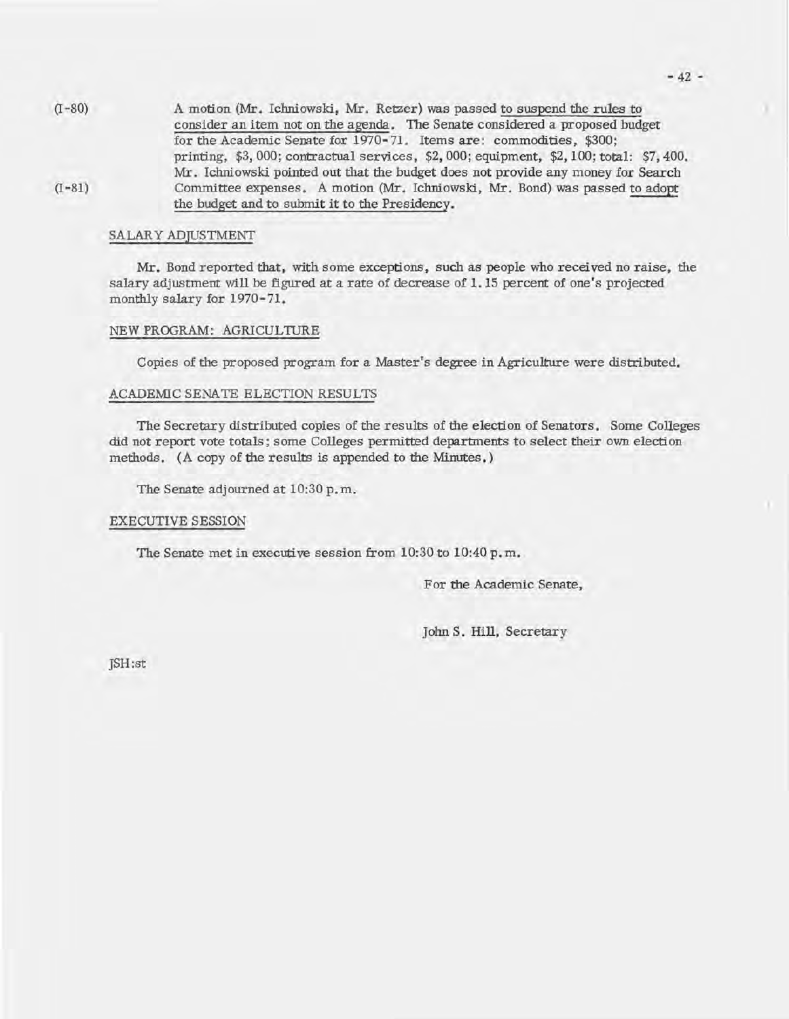$(I - 80)$  $(I - 81)$ A motion (Mr. Iclmiowski, Mr. Retzer) was passed to suspend the rules to consider an item not on the agenda. The Senate considered a proposed budget for the Academic Senate for 1970-71. Items are: commodities, \$300; printing, \$3,000; contractual services, \$2,000; equipment, \$2,100; total: \$7,400. Mr. Iclmiowski pointed out that the budget does not provide any money for Search Committee expenses. A motion (Mr. Ichniowski, Mr. Bond) was passed to adopt the budget and to submit it to the Presidency.

#### SALARY ADJUSTMENT

Mr. Bond reported that, with some exceptions, such as people who received no raise, the salary adjustment will be figured at a rate of decrease of 1.15 percent of one's projected monthly salary for 1970-71.

#### NEW PROGRAM: AGRICULTURE

Copies of the proposed program for a Master's degree in Agriculture were distributed.

#### ACADEMIC SENATE ELECTION RESULTS

The Secretary distributed copies of the results of the election of Senators. Some Colleges did not report vote totals; some Colleges permitted departments to select their own election methods. (A copy of the results is appended to the Minutes.)

The Senate adjourned at 10:30 p. m.

#### EXECUTIVE SESSION

'The Senate met in executive session from 10:30 to 10:40 p. m.

For the Academic Senate,

John S. Hill, Secretary

JSH:st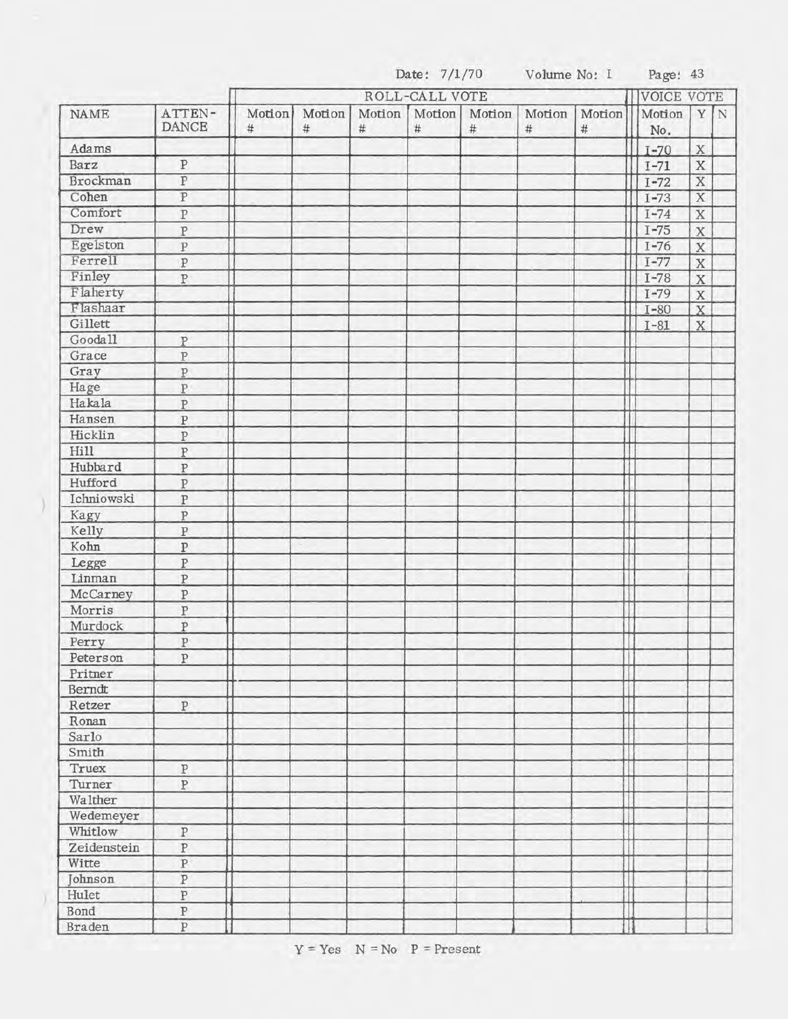|             |                         |                | ROLL-CALL VOTE |                |                | VOICE VOTE     |                |                |  |               |                         |             |
|-------------|-------------------------|----------------|----------------|----------------|----------------|----------------|----------------|----------------|--|---------------|-------------------------|-------------|
| <b>NAME</b> | ATTEN-<br><b>DANCE</b>  | Motion<br>$\#$ | Motion<br>$\#$ | Motion<br>$\#$ | Motion<br>$\#$ | Motion<br>$\#$ | Motion<br>$\#$ | Motion<br>$\#$ |  | Motion<br>No. | Y                       | $\mathbf N$ |
| Adams       |                         |                |                |                |                |                |                |                |  | $I - 70$      | $\mathbf X$             |             |
| Barz        | ${\bf P}$               |                |                |                |                |                |                |                |  | $I - 71$      | $\mathbf X$             |             |
| Brockman    | $\overline{P}$          |                |                |                |                |                |                |                |  | $I - 72$      | $\overline{\mathbf{X}}$ |             |
| Cohen       | $\overline{P}$          |                |                |                |                |                |                |                |  | $I - 73$      | $\overline{\mathbf{X}}$ |             |
| Comfort     | $\, {\bf p}$            |                |                |                |                |                |                |                |  | $I - 74$      | $\mathbf X$             |             |
| Drew        | $\overline{P}$          |                |                |                |                |                |                |                |  | $I - 75$      | $\bar{X}$               |             |
| Egelston    | $\overline{P}$          |                |                |                |                |                |                |                |  | $I - 76$      | $\rm X$                 |             |
| Ferrell     | $\rm P$                 |                |                |                |                |                |                |                |  | $I - 77$      | $\mathbf X$             |             |
| Finley      | $\, {\bf p}$            |                |                |                |                |                |                |                |  | $I - 78$      | $\overline{\textbf{X}}$ |             |
| Flaherty    |                         |                |                |                |                |                |                |                |  | $I - 79$      | $\rm X$                 |             |
| Flashaar    |                         |                |                |                |                |                |                |                |  | $I - 80$      | $\overline{X}$          |             |
| Gillett     |                         |                |                |                |                |                |                |                |  | $I - 81$      | $\mathbf{X}$            |             |
| Gooda11     | P                       |                |                |                |                |                |                |                |  |               |                         |             |
| Grace       | $\, {\bf P}$            |                |                |                |                |                |                |                |  |               |                         |             |
| Gray        | $\overline{P}$          |                |                |                |                |                |                |                |  |               |                         |             |
| Hage        | $\overline{P}$          |                |                |                |                |                |                |                |  |               |                         |             |
| Hakala      | $\overline{P}$          |                |                |                |                |                |                |                |  |               |                         |             |
| Hansen      | $\, {\bf p}$            |                |                |                |                |                |                |                |  |               |                         |             |
| Hicklin     | $\overline{P}$          |                |                |                |                |                |                |                |  |               |                         |             |
| Hill        | $\overline{P}$          |                |                |                |                |                |                |                |  |               |                         |             |
| Hubbard     | $\, {\bf p}$            |                |                |                |                |                |                |                |  |               |                         |             |
| Hufford     | $\rm P$                 |                |                |                |                |                |                |                |  |               |                         |             |
| Ichniowski  | $\rm P$                 |                |                |                |                |                |                |                |  |               |                         |             |
| Kagy        | $\bar{P}$               |                |                |                |                |                |                |                |  |               |                         |             |
| Kelly       | $\, {\bf p}$            |                |                |                |                |                |                |                |  |               |                         |             |
| Kohn        | $\, {\bf p}$            |                |                |                |                |                |                |                |  |               |                         |             |
| Legge       | $\overline{P}$          |                |                |                |                |                |                |                |  |               |                         |             |
| Linman      | $\overline{\mathrm{P}}$ |                |                |                |                |                |                |                |  |               |                         |             |
| McCarney    | $\rm P$                 |                |                |                |                |                |                |                |  |               |                         |             |
| Morris      | $\overline{\mathrm{P}}$ |                |                |                |                |                |                |                |  |               |                         |             |
| Murdock     | $\rm P$                 |                |                |                |                |                |                |                |  |               |                         |             |
| Perry       | $\rm P$                 |                |                |                |                |                |                |                |  |               |                         |             |
| Peterson    | $\overline{P}$          |                |                |                |                |                |                |                |  |               |                         |             |
| Pritner     |                         |                |                |                |                |                |                |                |  |               |                         |             |
| Berndt      |                         |                |                |                |                |                |                |                |  |               |                         |             |
| Retzer      | ${\bf P}$               |                |                |                |                |                |                |                |  |               |                         |             |
| Ronan       |                         |                |                |                |                |                |                |                |  |               |                         |             |
| Sarlo       |                         |                |                |                |                |                |                |                |  |               |                         |             |
| Smith       |                         |                |                |                |                |                |                |                |  |               |                         |             |
| Truex       | $\, {\bf p}$            |                |                |                |                |                |                |                |  |               |                         |             |
| Turner      | $\, {\bf p}$            |                |                |                |                |                |                |                |  |               |                         |             |
| Walther     |                         |                |                |                |                |                |                |                |  |               |                         |             |
| Wedemeyer   |                         |                |                |                |                |                |                |                |  |               |                         |             |
| Whitlow     | $\overline{\text{P}}$   |                |                |                |                |                |                |                |  |               |                         |             |
| Zeidenstein | ${\bf P}$               |                |                |                |                |                |                |                |  |               |                         |             |
| Witte       | $\overline{P}$          |                |                |                |                |                |                |                |  |               |                         |             |
| Johnson     | $\overline{\mathbf{P}}$ |                |                |                |                |                |                |                |  |               |                         |             |
| Hulet       | $\overline{\text{P}}$   |                |                |                |                |                |                |                |  |               |                         |             |
| Bond        | ${\bf P}$               |                |                |                |                |                |                |                |  |               |                         |             |
| Braden      | $\overline{P}$          |                |                |                |                |                |                |                |  |               |                         |             |
|             |                         |                |                |                |                |                |                |                |  |               |                         |             |

Date: 7/1/70 Volume No: I Page: 43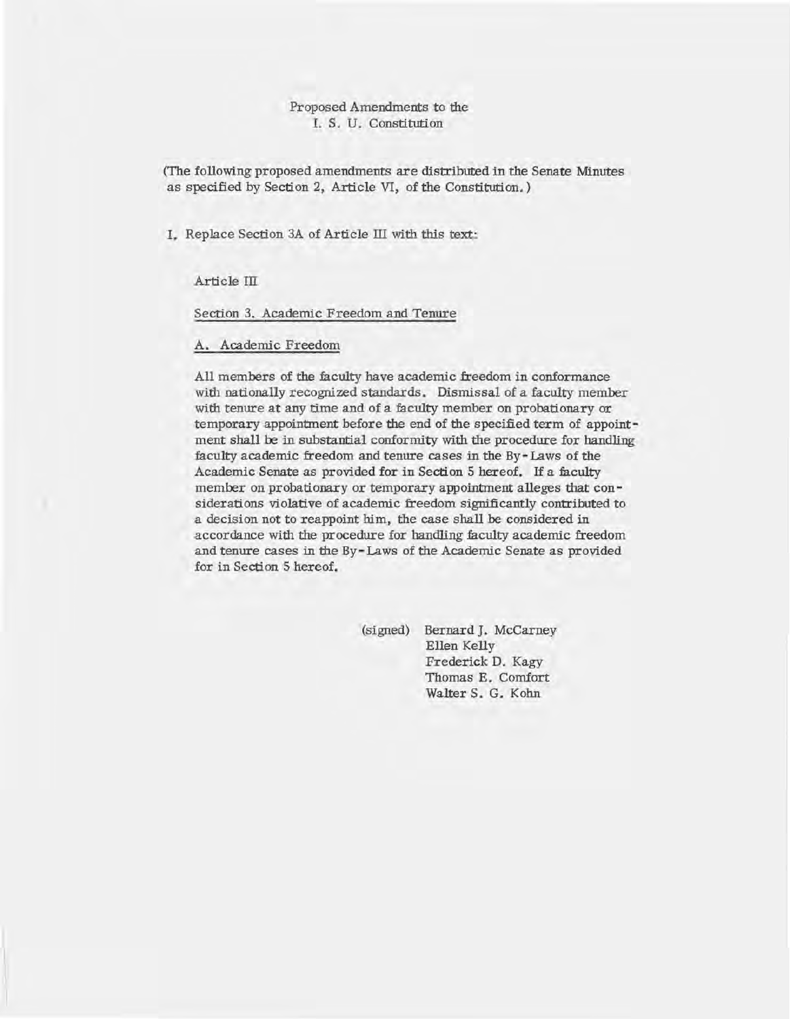#### Proposed Amendments to the I. S. U. Constitution

(The following proposed amendments are distributed in the Senate Minutes as specified by Section 2, Article VI, of the Constitution. )

1. Replace Section 3A of Article III with this text:

Article III

Section 3. Academic Freedom and Tenure

#### A. Academic Freedom

All members of the faculty have academic freedom in conformance with nationally recognized standards. Dismissal of a faculty member with tenure at any time and of a faculty member on probationary or temporary appointment before the end of the specified term of appointment shall be in substantial conformity with the procedure for handling faculty academic freedom and tenure cases in the By-Laws of the Academic Senate as provided for in Section 5 hereof. If a faculty member on probationary or temporary appointment alleges that considerations violative of academic freedom Significantly contributed to a decision not to reappoint him, the case shall be considered in accordance with the procedure for handling faculty academic freedom and tenure cases in the By- Laws of the Academic Senate as provided for in Section 5 hereof.

> (signed) Bernard J. McCarney Ellen Kelly Frederick D. Kagy Thomas E. Comfort Walter S. G. Kohn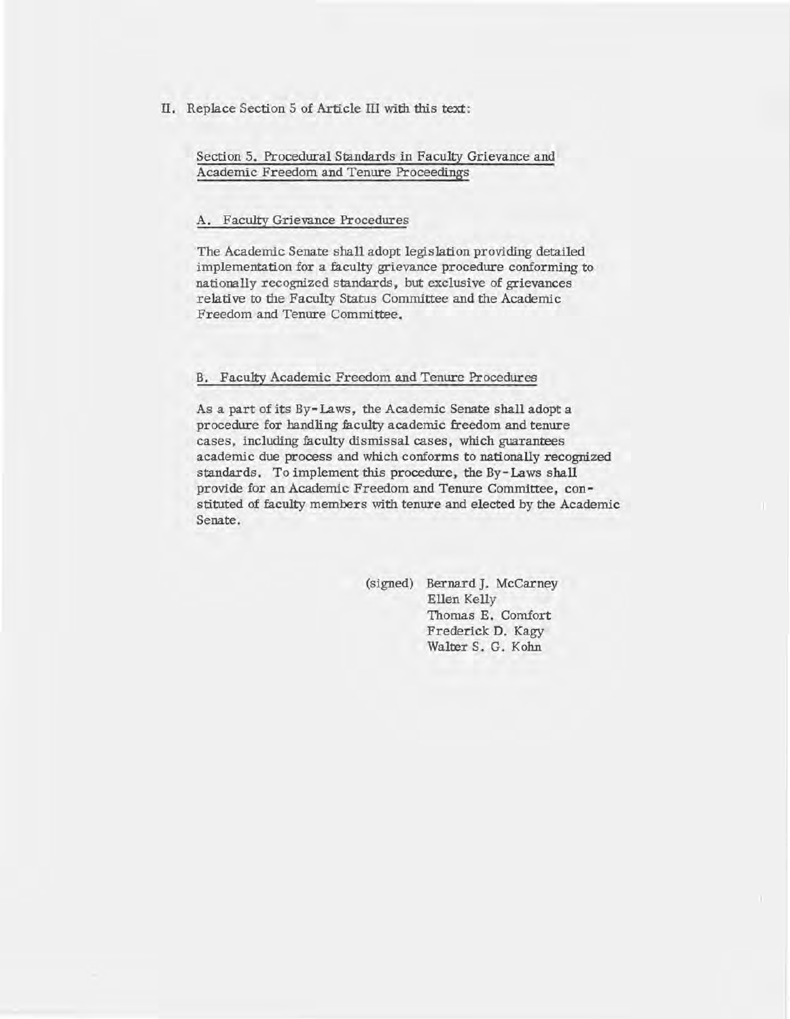II. Replace Section 5 of Article III with this text:

Section 5. Procedural Standards in Faculty Grievance and Academic Freedom and Tenure Proceedings

#### A. Faculty Grievance Procedures

The Academic Senate shall adopt legislation providing detailed implementation for a faculty grievance procedure conforming to nationally recognized standards, but exclusive of grievances relative to the Faculty Status Committee and the Academic Freedom and Tenure Committee.

#### B. Faculty Academic Freedom and Tenure Procedures

As a part of its By- Laws, the Academic Senate shall adopt a procedure for handling faculty academic freedom and tenure cases, including faculty dismissal cases, which guarantees academic due process and which conforms to nationally recognized standards. To implement this procedure, the By- Laws shall provide for an Academic Freedom and Tenure Committee, constituted of faculty members with tenure and elected by the Academic Senate.

> (signed) Bernard J. McCarney Ellen Kelly Thomas E. Comfort Frederick D. Kagy Walter S. G. Kohn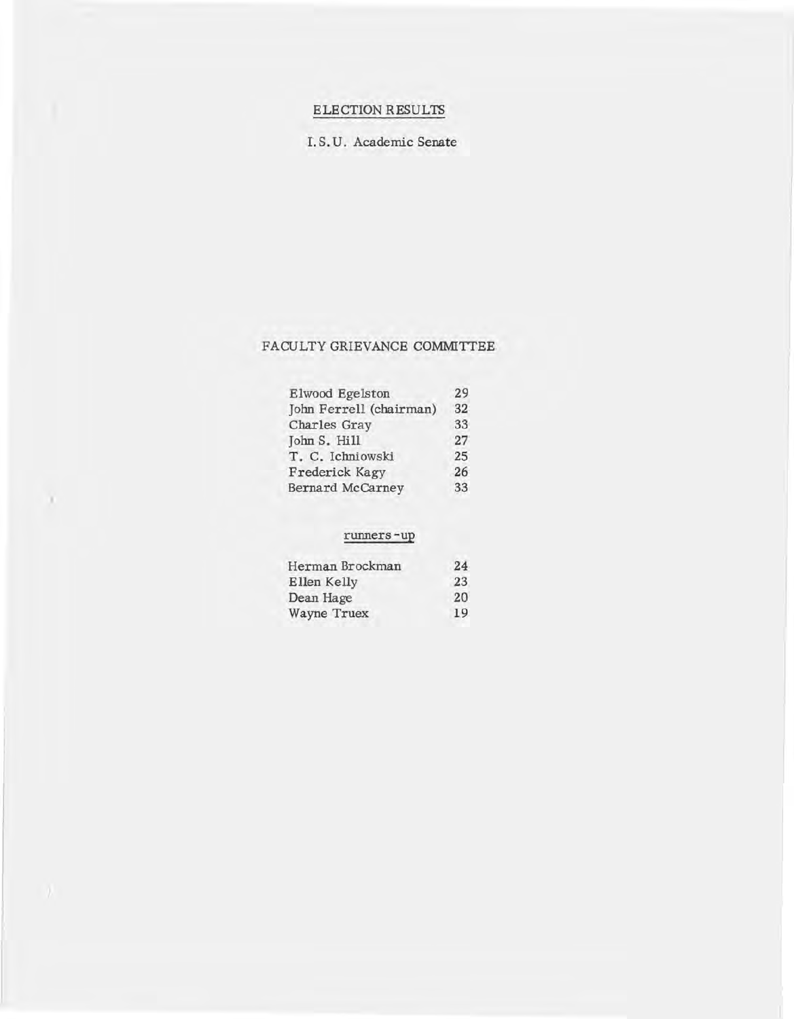# ELECTION RESULTS

1. S. U. Academic Senate

# FACULTY GRIEVANCE COMMITTEE

| Elwood Egelston         | 29 |
|-------------------------|----|
| John Ferrell (chairman) | 32 |
| Charles Gray            | 33 |
| John S. Hill            | 27 |
| T. C. Ichniowski        | 25 |
| Frederick Kagy          | 26 |
| <b>Bernard McCarney</b> | 33 |

# runners -up

x

| 24 |
|----|
| 23 |
| 20 |
| 19 |
|    |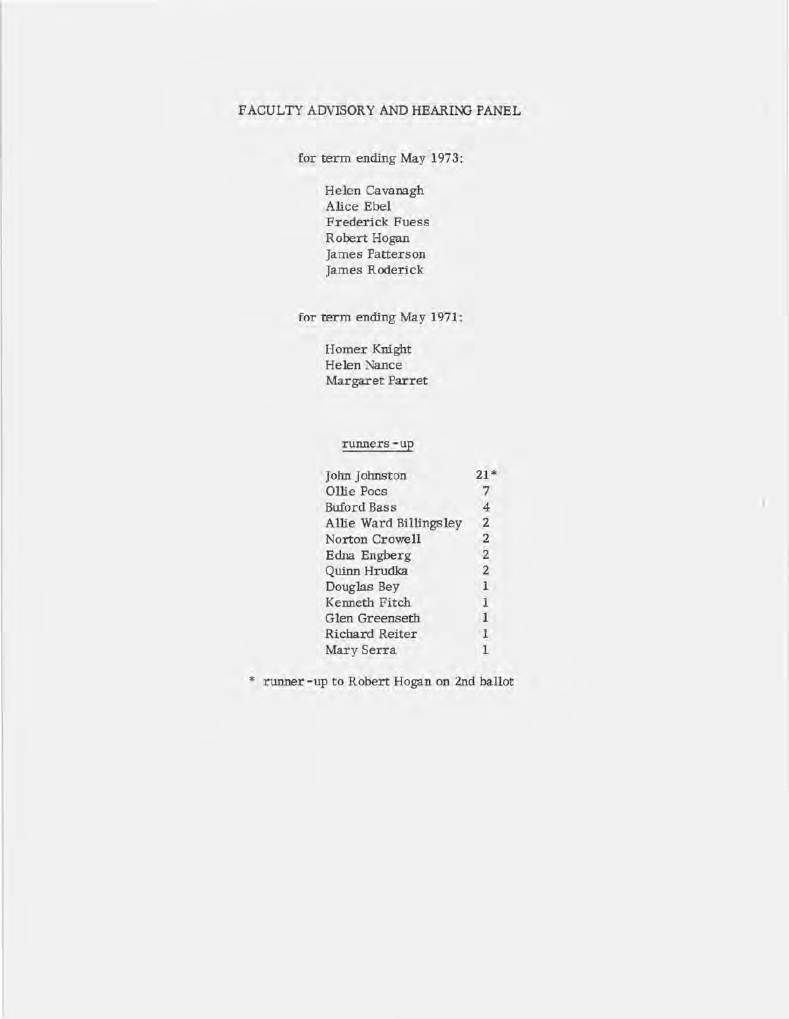### FACULTY ADVISORY AND HEARING PANEL

for term ending May 1973:

Helen Cavanagh Alice Ebel Frederick Fuess Robert Hogan James Patterson James Roderick

for term ending May 1971:

Homer Knight Helen Nance Margaret Parret

runners-up

| John Johnston          |                |
|------------------------|----------------|
| Ollie Pocs             |                |
| <b>Buford Bass</b>     | 4              |
| Allie Ward Billingsley | 2              |
| Norton Crowell         | $\overline{2}$ |
| Edna Engberg           | $\sqrt{2}$     |
| Quinn Hrudka           | $\overline{2}$ |
| Douglas Bey            | э              |
| Kenneth Fitch          |                |
| Glen Greenseth         | 1              |
| Richard Reiter         |                |
| Mary Serra             |                |

m

\* runner -up to Robert Hogan on 2nd ballot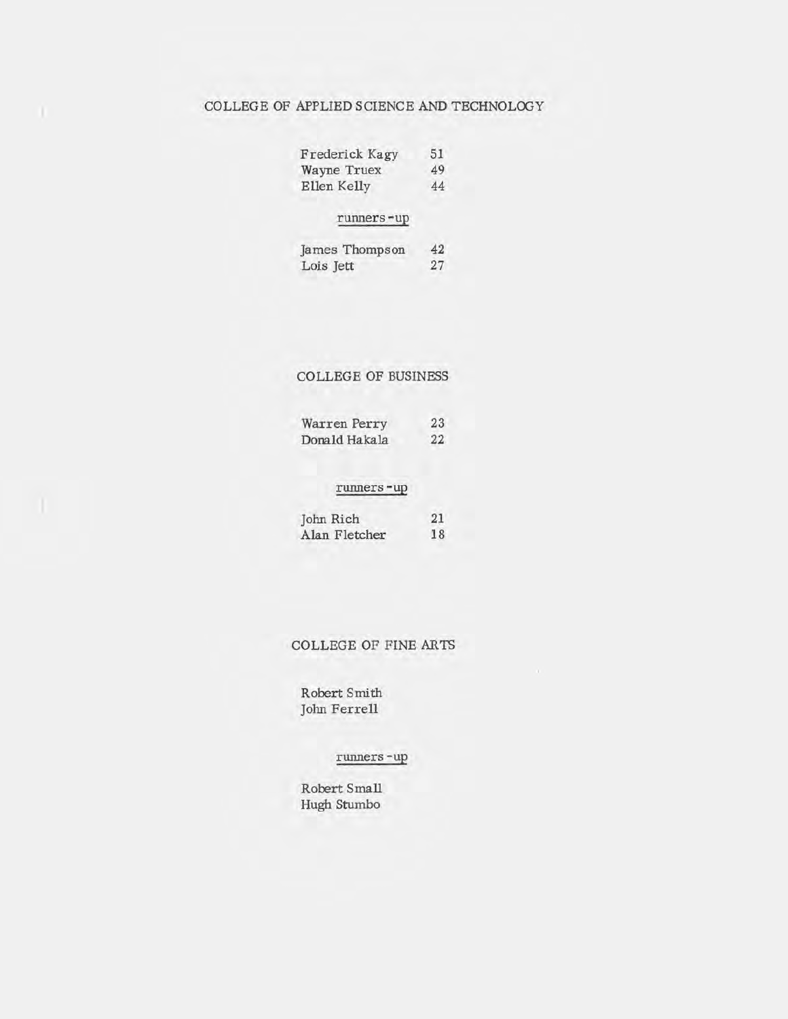# COLLEGE OF APPLIED SCIENCE AND TECHNOLOGY

n

| Frederick Kagy | 51 |
|----------------|----|
| Wayne Truex    | 49 |
| Ellen Kelly    | 44 |

### runners -up

| James Thompson | 42 |
|----------------|----|
| Lois Jett      | 27 |

# COLLEGE OF BUSINESS

| Warren Perry  | 23 |
|---------------|----|
| Donald Hakala | 22 |

#### runners -up

| John Rich     | 21 |
|---------------|----|
| Alan Fletcher | 18 |

#### COLLEGE OF FINE ARTS

Robert Smith John Ferrell

# runners -up

Robert Small Hugh Stumbo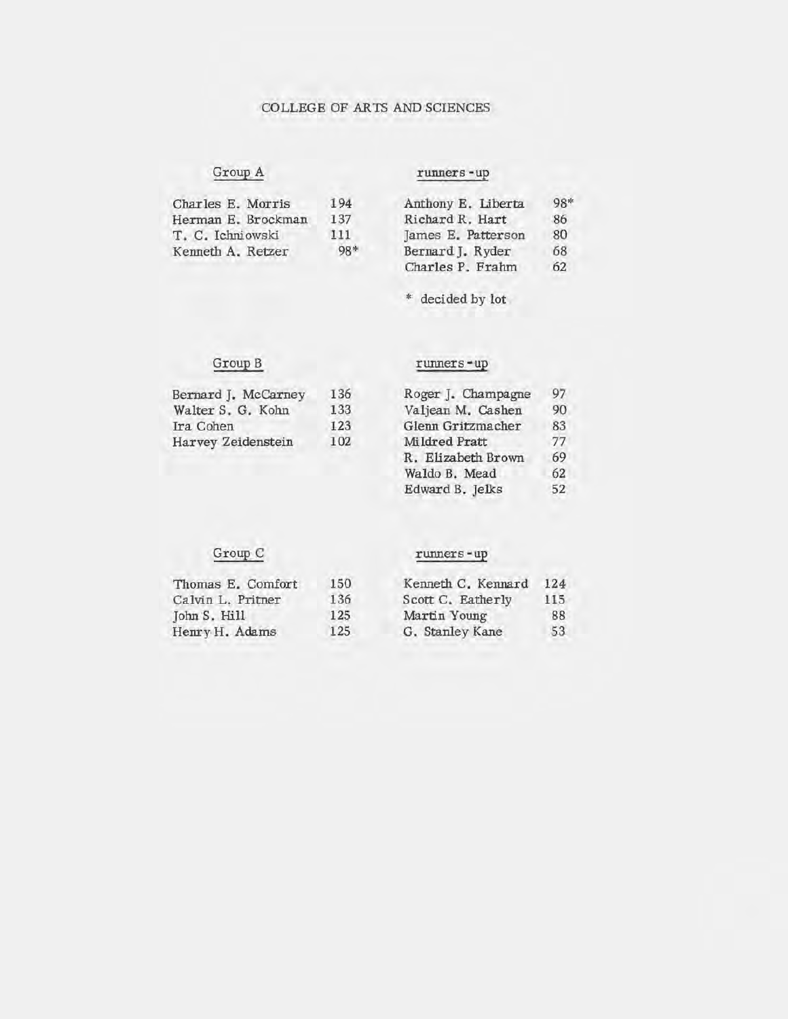### COLLEGE OF ARTS AND SCIENCES

# Group A runners -up

| Charles E. Morris  | 194   | Anthony E. Liberta | 98* |
|--------------------|-------|--------------------|-----|
| Herman E. Brockman | 137   | Richard R. Hart    | 86  |
| T. C. Ichniowski   | 111.  | James E. Patterson | 80  |
| Kenneth A. Retzer  | $98*$ | Bernard J. Ryder   | 68  |
|                    |       | Charles P. Frahm   | 62  |

\* decided by lot

# Group B runners-up

|     |                   | 97                        |
|-----|-------------------|---------------------------|
| 133 | Valjean M. Cashen | 90                        |
| 123 | Glenn Gritzmacher | 83                        |
| 102 | Mildred Pratt     | 77                        |
|     |                   | Roger J. Champagne<br>136 |

| Roger J. Champagne | 97 |
|--------------------|----|
| Valjean M. Cashen  | 90 |
| Glenn Gritzmacher  | 83 |
| Mildred Pratt      | 77 |
| R. Elizabeth Brown | 69 |
| Waldo B. Mead      | 62 |
| Edward B. Jelks    | 52 |

# Group C runners -up

Henry H. Adams

# Thomas E. Comfort 150 Kenneth C. Kennard 124<br>Calvin L. Pritner 136 Scott C. Eatherly 115 Calvin L. Pritner 136<br>
136 John S. Hill 125 John S. Hill 125<br>Henry H. Adams 125

|                  | Genneth C. Kennard | 1. |
|------------------|--------------------|----|
| cott C. Eatherly |                    | 1  |

| Martin Young    | 88 |
|-----------------|----|
| G. Stanley Kane | 53 |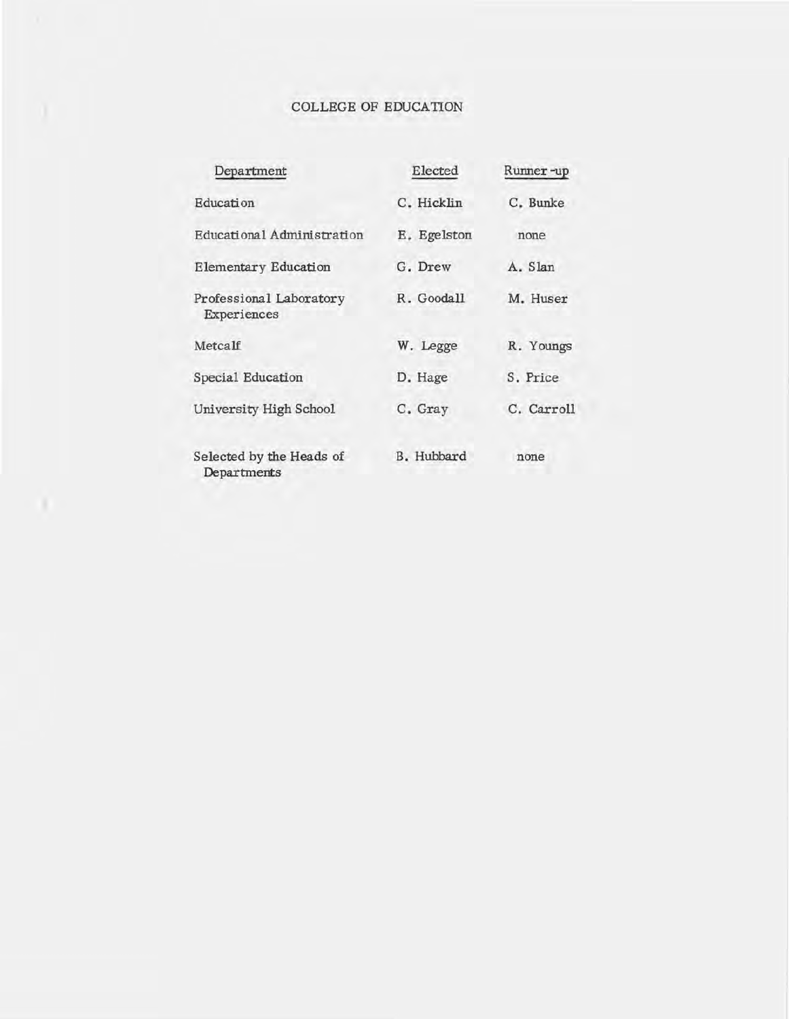# COLLEGE OF EDUCATION

| Department                              | Elected           | Runner-up  |
|-----------------------------------------|-------------------|------------|
| Education                               | C. Hicklin        | C. Bunke   |
| Educational Administration              | E. Egelston       | none       |
| Elementary Education                    | G. Drew           | A. Slan    |
| Professional Laboratory<br>Experiences  | R. Goodall        | M. Huser   |
| Metcalf                                 | W. Legge          | R. Youngs  |
| Special Education                       | D. Hage           | S. Price   |
| University High School                  | C. Gray           | C. Carroll |
| Selected by the Heads of<br>Departments | <b>B.</b> Hubbard | none       |